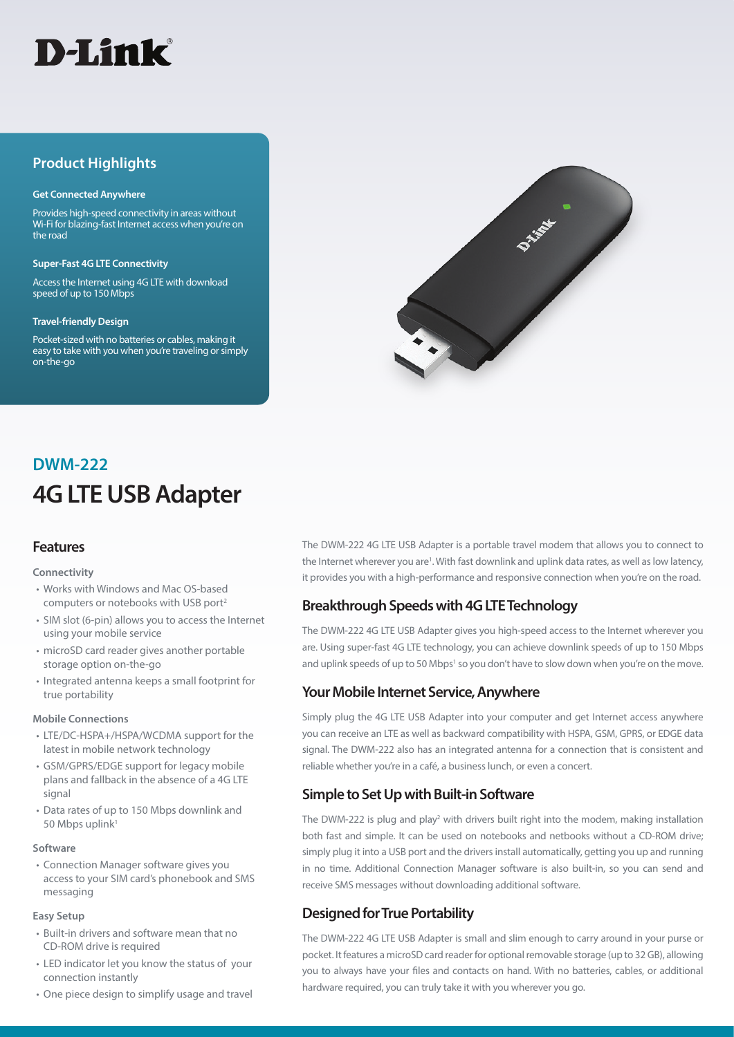

# **Product Highlights**

#### **Get Connected Anywhere**

Provides high-speed connectivity in areas without Wi-Fi for blazing-fast Internet access when you're on the road

#### **Super-Fast 4G LTE Connectivity**

Access the Internet using 4G LTE with download speed of up to 150 Mbps

#### **Travel-friendly Design**

Pocket-sized with no batteries or cables, making it easy to take with you when you're traveling or simply on-the-go



# **4G LTE USB Adapter DWM-222**

## **Features**

#### **Connectivity**

- Works with Windows and Mac OS-based computers or notebooks with USB port2
- SIM slot (6-pin) allows you to access the Internet using your mobile service
- microSD card reader gives another portable storage option on-the-go
- Integrated antenna keeps a small footprint for true portability

#### **Mobile Connections**

- LTE/DC-HSPA+/HSPA/WCDMA support for the latest in mobile network technology
- GSM/GPRS/EDGE support for legacy mobile plans and fallback in the absence of a 4G LTE signal
- Data rates of up to 150 Mbps downlink and 50 Mbps uplink1

#### **Software**

• Connection Manager software gives you access to your SIM card's phonebook and SMS messaging

#### **Easy Setup**

- Built-in drivers and software mean that no CD-ROM drive is required
- LED indicator let you know the status of your connection instantly
- One piece design to simplify usage and travel

The DWM-222 4G LTE USB Adapter is a portable travel modem that allows you to connect to the Internet wherever you are<sup>1</sup>. With fast downlink and uplink data rates, as well as low latency, it provides you with a high-performance and responsive connection when you're on the road.

## **Breakthrough Speeds with 4G LTE Technology**

The DWM-222 4G LTE USB Adapter gives you high-speed access to the Internet wherever you are. Using super-fast 4G LTE technology, you can achieve downlink speeds of up to 150 Mbps and uplink speeds of up to 50 Mbps<sup>1</sup> so you don't have to slow down when you're on the move.

## **Your Mobile Internet Service, Anywhere**

Simply plug the 4G LTE USB Adapter into your computer and get Internet access anywhere you can receive an LTE as well as backward compatibility with HSPA, GSM, GPRS, or EDGE data signal. The DWM-222 also has an integrated antenna for a connection that is consistent and reliable whether you're in a café, a business lunch, or even a concert.

## **Simple to Set Up with Built-in Software**

The DWM-222 is plug and play<sup>2</sup> with drivers built right into the modem, making installation both fast and simple. It can be used on notebooks and netbooks without a CD-ROM drive; simply plug it into a USB port and the drivers install automatically, getting you up and running in no time. Additional Connection Manager software is also built-in, so you can send and receive SMS messages without downloading additional software.

## **Designed for True Portability**

The DWM-222 4G LTE USB Adapter is small and slim enough to carry around in your purse or pocket. It features a microSD card reader for optional removable storage (up to 32 GB), allowing you to always have your files and contacts on hand. With no batteries, cables, or additional hardware required, you can truly take it with you wherever you go.